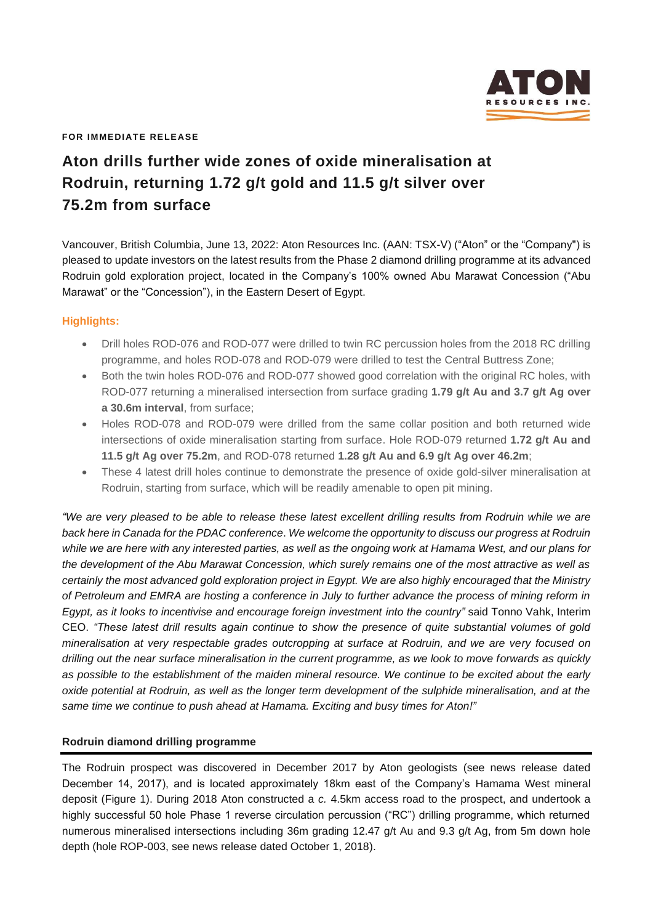

**FOR IMMEDIATE RELEASE**

# **Aton drills further wide zones of oxide mineralisation at Rodruin, returning 1.72 g/t gold and 11.5 g/t silver over 75.2m from surface**

Vancouver, British Columbia, June 13, 2022: Aton Resources Inc. (AAN: TSX-V) ("Aton" or the "Company") is pleased to update investors on the latest results from the Phase 2 diamond drilling programme at its advanced Rodruin gold exploration project, located in the Company's 100% owned Abu Marawat Concession ("Abu Marawat" or the "Concession"), in the Eastern Desert of Egypt.

# **Highlights:**

- Drill holes ROD-076 and ROD-077 were drilled to twin RC percussion holes from the 2018 RC drilling programme, and holes ROD-078 and ROD-079 were drilled to test the Central Buttress Zone;
- Both the twin holes ROD-076 and ROD-077 showed good correlation with the original RC holes, with ROD-077 returning a mineralised intersection from surface grading **1.79 g/t Au and 3.7 g/t Ag over a 30.6m interval**, from surface;
- Holes ROD-078 and ROD-079 were drilled from the same collar position and both returned wide intersections of oxide mineralisation starting from surface. Hole ROD-079 returned **1.72 g/t Au and 11.5 g/t Ag over 75.2m**, and ROD-078 returned **1.28 g/t Au and 6.9 g/t Ag over 46.2m**;
- These 4 latest drill holes continue to demonstrate the presence of oxide gold-silver mineralisation at Rodruin, starting from surface, which will be readily amenable to open pit mining.

*"We are very pleased to be able to release these latest excellent drilling results from Rodruin while we are back here in Canada for the PDAC conference*. *We welcome the opportunity to discuss our progress at Rodruin while we are here with any interested parties, as well as the ongoing work at Hamama West, and our plans for the development of the Abu Marawat Concession, which surely remains one of the most attractive as well as certainly the most advanced gold exploration project in Egypt. We are also highly encouraged that the Ministry of Petroleum and EMRA are hosting a conference in July to further advance the process of mining reform in Egypt, as it looks to incentivise and encourage foreign investment into the country"* said Tonno Vahk, Interim CEO. *"These latest drill results again continue to show the presence of quite substantial volumes of gold mineralisation at very respectable grades outcropping at surface at Rodruin, and we are very focused on drilling out the near surface mineralisation in the current programme, as we look to move forwards as quickly as possible to the establishment of the maiden mineral resource. We continue to be excited about the early oxide potential at Rodruin, as well as the longer term development of the sulphide mineralisation, and at the same time we continue to push ahead at Hamama. Exciting and busy times for Aton!"* 

## **Rodruin diamond drilling programme**

The Rodruin prospect was discovered in December 2017 by Aton geologists (see news release dated December 14, 2017), and is located approximately 18km east of the Company's Hamama West mineral deposit (Figure 1). During 2018 Aton constructed a *c.* 4.5km access road to the prospect, and undertook a highly successful 50 hole Phase 1 reverse circulation percussion ("RC") drilling programme, which returned numerous mineralised intersections including 36m grading 12.47 g/t Au and 9.3 g/t Ag, from 5m down hole depth (hole ROP-003, see news release dated October 1, 2018).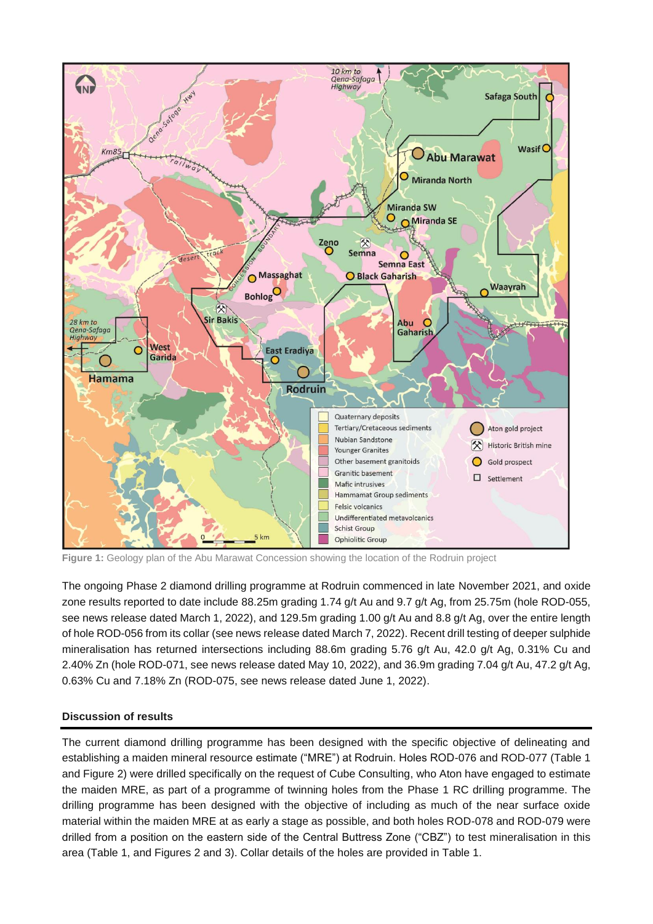

**Figure 1:** Geology plan of the Abu Marawat Concession showing the location of the Rodruin project

The ongoing Phase 2 diamond drilling programme at Rodruin commenced in late November 2021, and oxide zone results reported to date include 88.25m grading 1.74 g/t Au and 9.7 g/t Ag, from 25.75m (hole ROD-055, see news release dated March 1, 2022), and 129.5m grading 1.00 g/t Au and 8.8 g/t Ag, over the entire length of hole ROD-056 from its collar (see news release dated March 7, 2022). Recent drill testing of deeper sulphide mineralisation has returned intersections including 88.6m grading 5.76 g/t Au, 42.0 g/t Ag, 0.31% Cu and 2.40% Zn (hole ROD-071, see news release dated May 10, 2022), and 36.9m grading 7.04 g/t Au, 47.2 g/t Ag, 0.63% Cu and 7.18% Zn (ROD-075, see news release dated June 1, 2022).

# **Discussion of results**

The current diamond drilling programme has been designed with the specific objective of delineating and establishing a maiden mineral resource estimate ("MRE") at Rodruin. Holes ROD-076 and ROD-077 (Table 1 and Figure 2) were drilled specifically on the request of Cube Consulting, who Aton have engaged to estimate the maiden MRE, as part of a programme of twinning holes from the Phase 1 RC drilling programme. The drilling programme has been designed with the objective of including as much of the near surface oxide material within the maiden MRE at as early a stage as possible, and both holes ROD-078 and ROD-079 were drilled from a position on the eastern side of the Central Buttress Zone ("CBZ") to test mineralisation in this area (Table 1, and Figures 2 and 3). Collar details of the holes are provided in Table 1.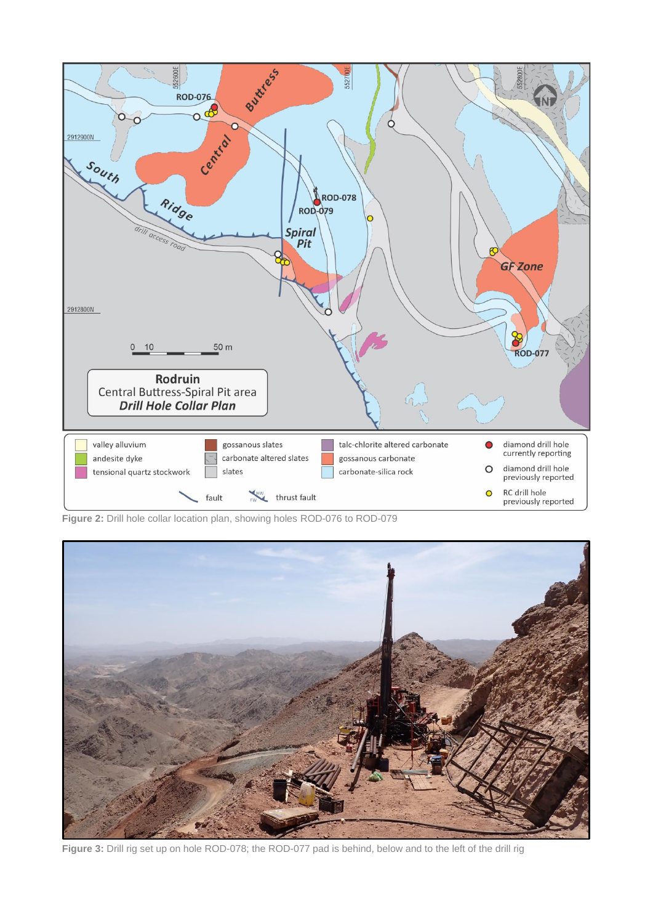

**Figure 2:** Drill hole collar location plan, showing holes ROD-076 to ROD-079



Figure 3: Drill rig set up on hole ROD-078; the ROD-077 pad is behind, below and to the left of the drill rig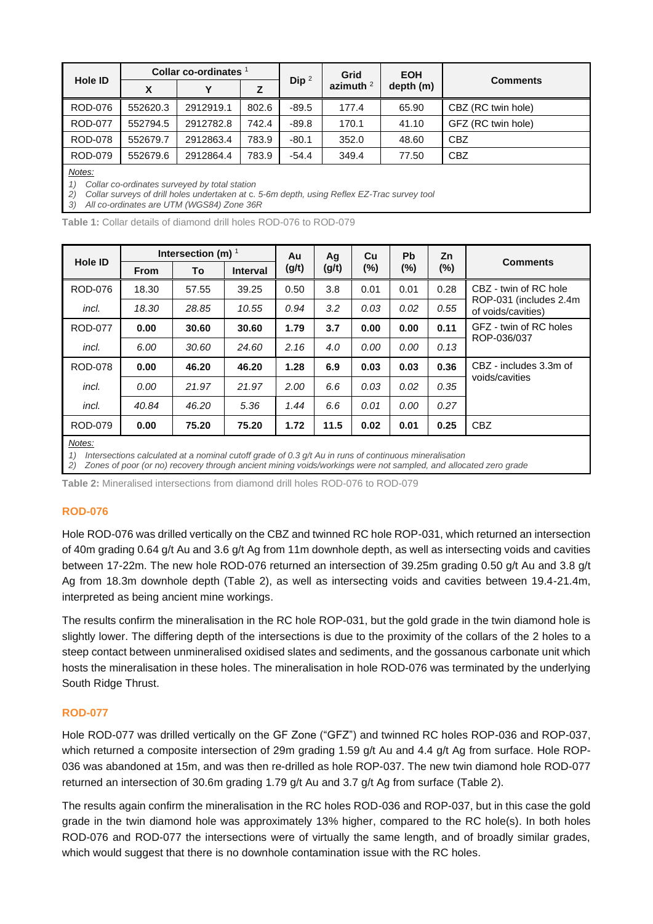| <b>Hole ID</b>                                | Collar co-ordinates $1$ |           |       |          | Grid        | <b>EOH</b> |                    |  |  |  |  |
|-----------------------------------------------|-------------------------|-----------|-------|----------|-------------|------------|--------------------|--|--|--|--|
|                                               | X                       | Υ         | z     | Dip $^2$ | azimuth $2$ | depth (m)  | <b>Comments</b>    |  |  |  |  |
| <b>ROD-076</b>                                | 552620.3                | 2912919.1 | 802.6 | $-89.5$  | 177.4       | 65.90      | CBZ (RC twin hole) |  |  |  |  |
| <b>ROD-077</b>                                | 552794.5                | 2912782.8 | 742.4 | $-89.8$  | 170.1       | 41.10      | GFZ (RC twin hole) |  |  |  |  |
| <b>ROD-078</b>                                | 552679.7                | 2912863.4 | 783.9 | $-80.1$  | 352.0       | 48.60      | <b>CBZ</b>         |  |  |  |  |
| <b>ROD-079</b>                                | 552679.6                | 2912864.4 | 783.9 | $-54.4$  | 349.4       | 77.50      | <b>CBZ</b>         |  |  |  |  |
| Notes:                                        |                         |           |       |          |             |            |                    |  |  |  |  |
| Collar co-ordinates surveyed by total station |                         |           |       |          |             |            |                    |  |  |  |  |

*2) Collar surveys of drill holes undertaken at* c. *5-6m depth, using Reflex EZ-Trac survey tool*

*3) All co-ordinates are UTM (WGS84) Zone 36R*

**Table 1:** Collar details of diamond drill holes ROD-076 to ROD-079

| <b>Hole ID</b> | Intersection (m) $1$ |       |                 | Au    | Ag    | Cu   | <b>Pb</b> | Zn     |                                                                        |
|----------------|----------------------|-------|-----------------|-------|-------|------|-----------|--------|------------------------------------------------------------------------|
|                | <b>From</b>          | To    | <b>Interval</b> | (g/t) | (g/t) | (%)  | $(\%)$    | $(\%)$ | <b>Comments</b>                                                        |
| ROD-076        | 18.30                | 57.55 | 39.25           | 0.50  | 3.8   | 0.01 | 0.01      | 0.28   | CBZ - twin of RC hole<br>ROP-031 (includes 2.4m)<br>of voids/cavities) |
| incl.          | 18.30                | 28.85 | 10.55           | 0.94  | 3.2   | 0.03 | 0.02      | 0.55   |                                                                        |
| <b>ROD-077</b> | 0.00                 | 30.60 | 30.60           | 1.79  | 3.7   | 0.00 | 0.00      | 0.11   | GFZ - twin of RC holes                                                 |
| incl.          | 6.00                 | 30.60 | 24.60           | 2.16  | 4.0   | 0.00 | 0.00      | 0.13   | ROP-036/037                                                            |
| <b>ROD-078</b> | 0.00                 | 46.20 | 46.20           | 1.28  | 6.9   | 0.03 | 0.03      | 0.36   | CBZ - includes 3.3m of                                                 |
| incl.          | 0.00                 | 21.97 | 21.97           | 2.00  | 6.6   | 0.03 | 0.02      | 0.35   | voids/cavities                                                         |
| incl.          | 40.84                | 46.20 | 5.36            | 1.44  | 6.6   | 0.01 | 0.00      | 0.27   |                                                                        |
| <b>ROD-079</b> | 0.00                 | 75.20 | 75.20           | 1.72  | 11.5  | 0.02 | 0.01      | 0.25   | CBZ                                                                    |
| Notes:         |                      |       |                 |       |       |      |           |        |                                                                        |

*1) Intersections calculated at a nominal cutoff grade of 0.3 g/t Au in runs of continuous mineralisation*

*2) Zones of poor (or no) recovery through ancient mining voids/workings were not sampled, and allocated zero grade*

**Table 2:** Mineralised intersections from diamond drill holes ROD-076 to ROD-079

#### **ROD-076**

Hole ROD-076 was drilled vertically on the CBZ and twinned RC hole ROP-031, which returned an intersection of 40m grading 0.64 g/t Au and 3.6 g/t Ag from 11m downhole depth, as well as intersecting voids and cavities between 17-22m. The new hole ROD-076 returned an intersection of 39.25m grading 0.50 g/t Au and 3.8 g/t Ag from 18.3m downhole depth (Table 2), as well as intersecting voids and cavities between 19.4-21.4m, interpreted as being ancient mine workings.

The results confirm the mineralisation in the RC hole ROP-031, but the gold grade in the twin diamond hole is slightly lower. The differing depth of the intersections is due to the proximity of the collars of the 2 holes to a steep contact between unmineralised oxidised slates and sediments, and the gossanous carbonate unit which hosts the mineralisation in these holes. The mineralisation in hole ROD-076 was terminated by the underlying South Ridge Thrust.

## **ROD-077**

Hole ROD-077 was drilled vertically on the GF Zone ("GFZ") and twinned RC holes ROP-036 and ROP-037, which returned a composite intersection of 29m grading 1.59 g/t Au and 4.4 g/t Ag from surface. Hole ROP-036 was abandoned at 15m, and was then re-drilled as hole ROP-037. The new twin diamond hole ROD-077 returned an intersection of 30.6m grading 1.79 g/t Au and 3.7 g/t Ag from surface (Table 2).

The results again confirm the mineralisation in the RC holes ROD-036 and ROP-037, but in this case the gold grade in the twin diamond hole was approximately 13% higher, compared to the RC hole(s). In both holes ROD-076 and ROD-077 the intersections were of virtually the same length, and of broadly similar grades, which would suggest that there is no downhole contamination issue with the RC holes.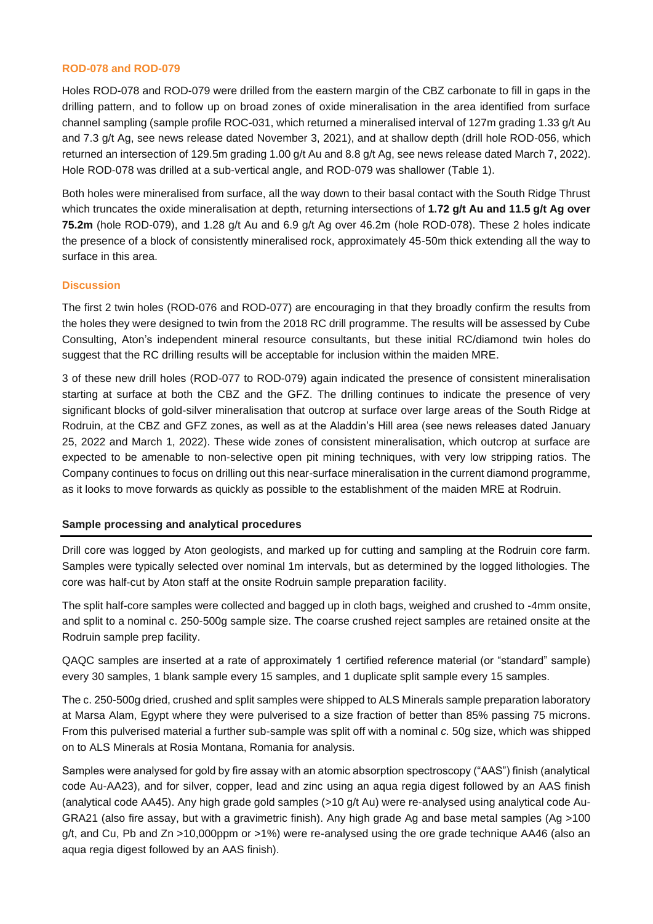#### **ROD-078 and ROD-079**

Holes ROD-078 and ROD-079 were drilled from the eastern margin of the CBZ carbonate to fill in gaps in the drilling pattern, and to follow up on broad zones of oxide mineralisation in the area identified from surface channel sampling (sample profile ROC-031, which returned a mineralised interval of 127m grading 1.33 g/t Au and 7.3 g/t Ag, see news release dated November 3, 2021), and at shallow depth (drill hole ROD-056, which returned an intersection of 129.5m grading 1.00 g/t Au and 8.8 g/t Ag, see news release dated March 7, 2022). Hole ROD-078 was drilled at a sub-vertical angle, and ROD-079 was shallower (Table 1).

Both holes were mineralised from surface, all the way down to their basal contact with the South Ridge Thrust which truncates the oxide mineralisation at depth, returning intersections of **1.72 g/t Au and 11.5 g/t Ag over 75.2m** (hole ROD-079), and 1.28 g/t Au and 6.9 g/t Ag over 46.2m (hole ROD-078). These 2 holes indicate the presence of a block of consistently mineralised rock, approximately 45-50m thick extending all the way to surface in this area.

#### **Discussion**

The first 2 twin holes (ROD-076 and ROD-077) are encouraging in that they broadly confirm the results from the holes they were designed to twin from the 2018 RC drill programme. The results will be assessed by Cube Consulting, Aton's independent mineral resource consultants, but these initial RC/diamond twin holes do suggest that the RC drilling results will be acceptable for inclusion within the maiden MRE.

3 of these new drill holes (ROD-077 to ROD-079) again indicated the presence of consistent mineralisation starting at surface at both the CBZ and the GFZ. The drilling continues to indicate the presence of very significant blocks of gold-silver mineralisation that outcrop at surface over large areas of the South Ridge at Rodruin, at the CBZ and GFZ zones, as well as at the Aladdin's Hill area (see news releases dated January 25, 2022 and March 1, 2022). These wide zones of consistent mineralisation, which outcrop at surface are expected to be amenable to non-selective open pit mining techniques, with very low stripping ratios. The Company continues to focus on drilling out this near-surface mineralisation in the current diamond programme, as it looks to move forwards as quickly as possible to the establishment of the maiden MRE at Rodruin.

## **Sample processing and analytical procedures**

Drill core was logged by Aton geologists, and marked up for cutting and sampling at the Rodruin core farm. Samples were typically selected over nominal 1m intervals, but as determined by the logged lithologies. The core was half-cut by Aton staff at the onsite Rodruin sample preparation facility.

The split half-core samples were collected and bagged up in cloth bags, weighed and crushed to -4mm onsite, and split to a nominal c. 250-500g sample size. The coarse crushed reject samples are retained onsite at the Rodruin sample prep facility.

QAQC samples are inserted at a rate of approximately 1 certified reference material (or "standard" sample) every 30 samples, 1 blank sample every 15 samples, and 1 duplicate split sample every 15 samples.

The c. 250-500g dried, crushed and split samples were shipped to ALS Minerals sample preparation laboratory at Marsa Alam, Egypt where they were pulverised to a size fraction of better than 85% passing 75 microns. From this pulverised material a further sub-sample was split off with a nominal *c.* 50g size, which was shipped on to ALS Minerals at Rosia Montana, Romania for analysis.

Samples were analysed for gold by fire assay with an atomic absorption spectroscopy ("AAS") finish (analytical code Au-AA23), and for silver, copper, lead and zinc using an aqua regia digest followed by an AAS finish (analytical code AA45). Any high grade gold samples (>10 g/t Au) were re-analysed using analytical code Au-GRA21 (also fire assay, but with a gravimetric finish). Any high grade Ag and base metal samples (Ag >100 g/t, and Cu, Pb and Zn >10,000ppm or >1%) were re-analysed using the ore grade technique AA46 (also an aqua regia digest followed by an AAS finish).